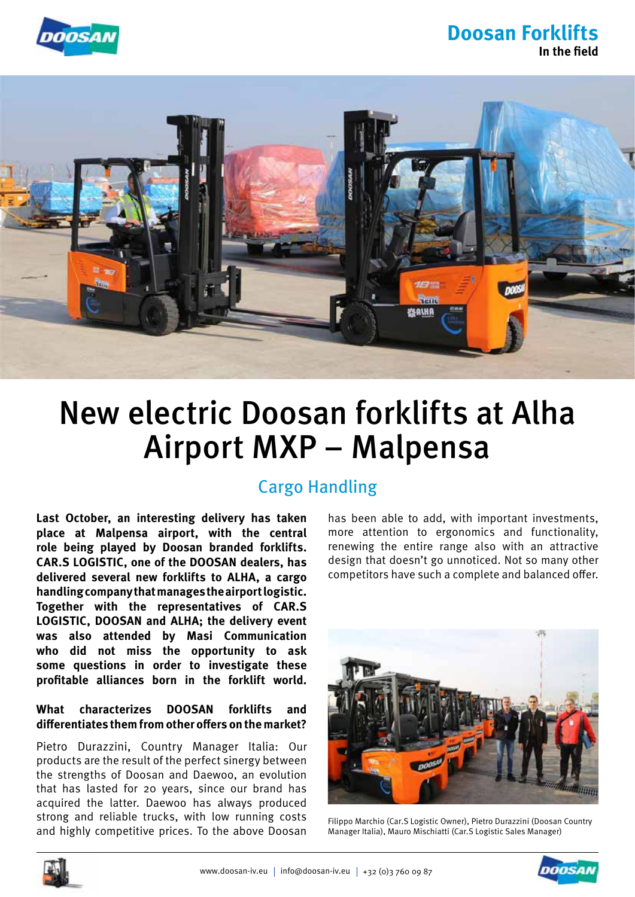

## **Doosan Forklifts In the field**



# New electric Doosan forklifts at Alha Airport MXP – Malpensa

## Cargo Handling

**Last October, an interesting delivery has taken place at Malpensa airport, with the central role being played by Doosan branded forklifts. CAR.S LOGISTIC, one of the DOOSAN dealers, has delivered several new forklifts to ALHA, a cargo handling company that manages the airport logistic. Together with the representatives of CAR.S LOGISTIC, DOOSAN and ALHA; the delivery event was also attended by Masi Communication who did not miss the opportunity to ask some questions in order to investigate these profitable alliances born in the forklift world.**

#### **What characterizes DOOSAN forklifts and differentiates them from other offers on the market?**

Pietro Durazzini, Country Manager Italia: Our products are the result of the perfect sinergy between the strengths of Doosan and Daewoo, an evolution that has lasted for 20 years, since our brand has acquired the latter. Daewoo has always produced strong and reliable trucks, with low running costs and highly competitive prices. To the above Doosan

has been able to add, with important investments, more attention to ergonomics and functionality, renewing the entire range also with an attractive design that doesn't go unnoticed. Not so many other competitors have such a complete and balanced offer.



Filippo Marchio (Car.S Logistic Owner), Pietro Durazzini (Doosan Country Manager Italia), Mauro Mischiatti (Car.S Logistic Sales Manager)